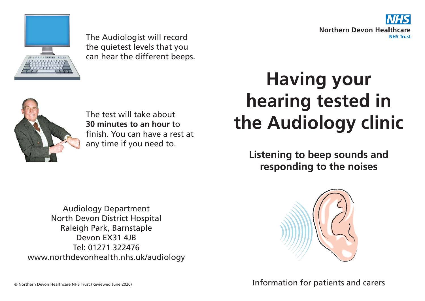



The Audiologist will record the quietest levels that you can hear the different beeps.



The test will take about **30 minutes to an hour** to finish. You can have a rest at any time if you need to.

## **Having your hearing tested in the Audiology clinic**

**Listening to beep sounds and responding to the noises**

Audiology Department North Devon District Hospital Raleigh Park, Barnstaple Devon EX31 4JB Tel: 01271 322476 www.northdevonhealth.nhs.uk/audiology



Information for patients and carers